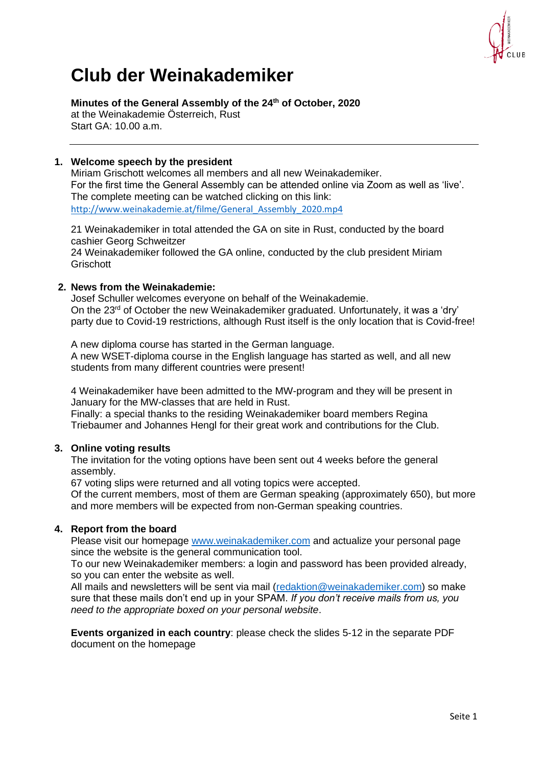

# **Club der Weinakademiker**

**Minutes of the General Assembly of the 24th of October, 2020** at the Weinakademie Österreich, Rust

Start GA: 10.00 a.m.

## **1. Welcome speech by the president**

Miriam Grischott welcomes all members and all new Weinakademiker. For the first time the General Assembly can be attended online via Zoom as well as 'live'. The complete meeting can be watched clicking on this link: [http://www.weinakademie.at/filme/General\\_Assembly\\_2020.mp4](https://eur01.safelinks.protection.outlook.com/?url=http%3A%2F%2Fwww.weinakademie.at%2Ffilme%2FGeneral_Assembly_2020.mp4&data=04%7C01%7Ca.vondenhoff%40aventus.nl%7C1f761165f5194b14fe7508d878058f51%7C26b1a64eed9f426e9338974f6c0fdd4f%7C0%7C0%7C637391312577560277%7CUnknown%7CTWFpbGZsb3d8eyJWIjoiMC4wLjAwMDAiLCJQIjoiV2luMzIiLCJBTiI6Ik1haWwiLCJXVCI6Mn0%3D%7C1000&sdata=Cane099Sm8u5cZZD3EiSRV5%2BEfSs4bsg83jNQmWFsDw%3D&reserved=0)

21 Weinakademiker in total attended the GA on site in Rust, conducted by the board cashier Georg Schweitzer 24 Weinakademiker followed the GA online, conducted by the club president Miriam **Grischott** 

## **2. News from the Weinakademie:**

Josef Schuller welcomes everyone on behalf of the Weinakademie. On the 23rd of October the new Weinakademiker graduated. Unfortunately, it was a 'dry' party due to Covid-19 restrictions, although Rust itself is the only location that is Covid-free!

A new diploma course has started in the German language. A new WSET-diploma course in the English language has started as well, and all new students from many different countries were present!

4 Weinakademiker have been admitted to the MW-program and they will be present in January for the MW-classes that are held in Rust.

Finally: a special thanks to the residing Weinakademiker board members Regina Triebaumer and Johannes Hengl for their great work and contributions for the Club.

## **3. Online voting results**

The invitation for the voting options have been sent out 4 weeks before the general assembly.

67 voting slips were returned and all voting topics were accepted.

Of the current members, most of them are German speaking (approximately 650), but more and more members will be expected from non-German speaking countries.

## **4. Report from the board**

Please visit our homepage [www.weinakademiker.com](http://www.weinakademiker.com/) and actualize your personal page since the website is the general communication tool.

To our new Weinakademiker members: a login and password has been provided already, so you can enter the website as well.

All mails and newsletters will be sent via mail [\(redaktion@weinakademiker.com\)](mailto:redaktion@weinakademiker.com) so make sure that these mails don't end up in your SPAM. *If you don't receive mails from us, you need to the appropriate boxed on your personal website*.

**Events organized in each country**: please check the slides 5-12 in the separate PDF document on the homepage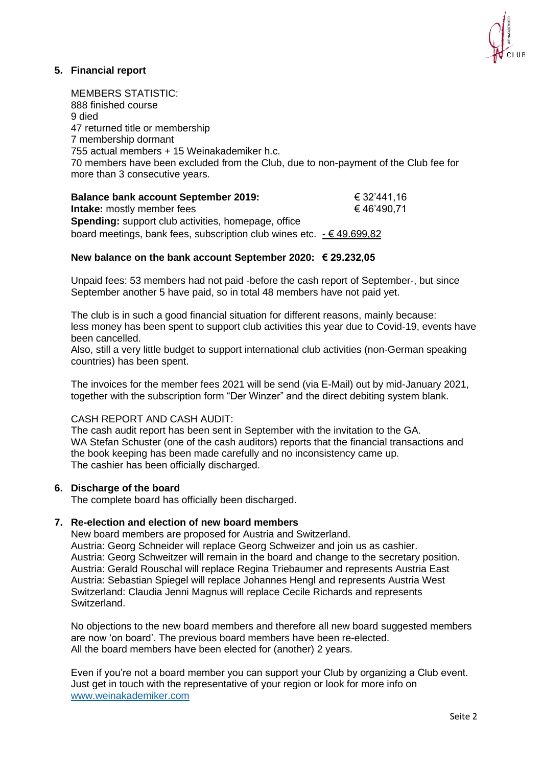

## **5. Financial report**

MEMBERS STATISTIC: 888 finished course 9 died 47 returned title or membership 7 membership dormant 755 actual members + 15 Weinakademiker h.c. 70 members have been excluded from the Club, due to non-payment of the Club fee for more than 3 consecutive years.

**Balance bank account September 2019:** € 32'441,16 **Intake:** mostly member fees  $\epsilon$  46'490,71 **Spending:** support club activities, homepage, office board meetings, bank fees, subscription club wines etc. - € 49.699,82

#### **New balance on the bank account September 2020: € 29.232,05**

Unpaid fees: 53 members had not paid -before the cash report of September-, but since September another 5 have paid, so in total 48 members have not paid yet.

The club is in such a good financial situation for different reasons, mainly because: less money has been spent to support club activities this year due to Covid-19, events have been cancelled.

Also, still a very little budget to support international club activities (non-German speaking countries) has been spent.

The invoices for the member fees 2021 will be send (via E-Mail) out by mid-January 2021, together with the subscription form "Der Winzer" and the direct debiting system blank.

#### CASH REPORT AND CASH AUDIT:

The cash audit report has been sent in September with the invitation to the GA. WA Stefan Schuster (one of the cash auditors) reports that the financial transactions and the book keeping has been made carefully and no inconsistency came up. The cashier has been officially discharged.

#### **6. Discharge of the board**

The complete board has officially been discharged.

#### **7. Re-election and election of new board members**

New board members are proposed for Austria and Switzerland. Austria: Georg Schneider will replace Georg Schweizer and join us as cashier. Austria: Georg Schweitzer will remain in the board and change to the secretary position. Austria: Gerald Rouschal will replace Regina Triebaumer and represents Austria East Austria: Sebastian Spiegel will replace Johannes Hengl and represents Austria West Switzerland: Claudia Jenni Magnus will replace Cecile Richards and represents Switzerland.

No objections to the new board members and therefore all new board suggested members are now 'on board'. The previous board members have been re-elected. All the board members have been elected for (another) 2 years.

Even if you're not a board member you can support your Club by organizing a Club event. Just get in touch with the representative of your region or look for more info on [www.weinakademiker.com](http://www.weinakademiker.com/)